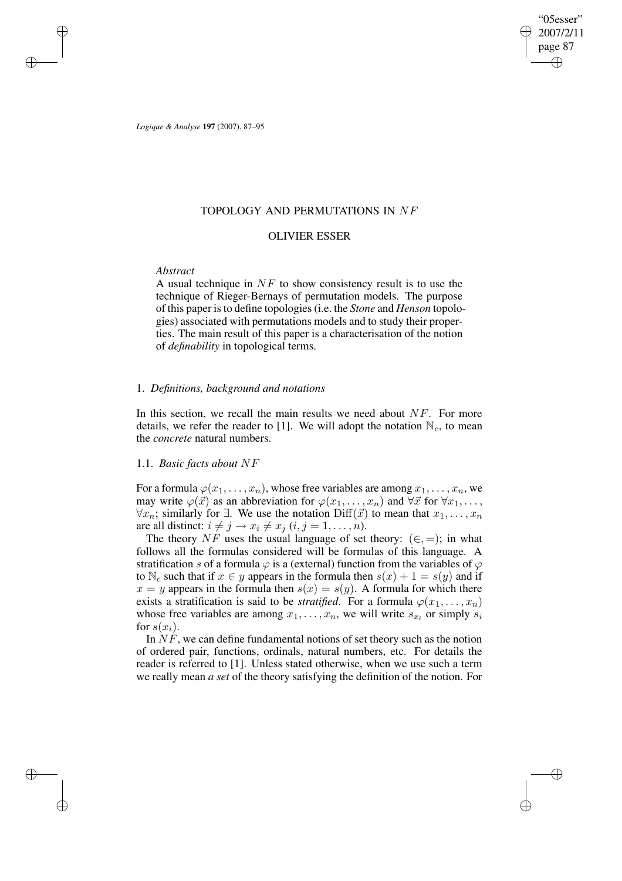"05esser" 2007/2/11 page 87 ✐ ✐

✐

✐

*Logique & Analyse* **197** (2007), 87–95

✐

✐

✐

✐

## TOPOLOGY AND PERMUTATIONS IN NF

## OLIVIER ESSER

#### *Abstract*

A usual technique in  $NF$  to show consistency result is to use the technique of Rieger-Bernays of permutation models. The purpose of this paper isto define topologies(i.e. the *Stone* and *Henson* topologies) associated with permutations models and to study their properties. The main result of this paper is a characterisation of the notion of *definability* in topological terms.

#### 1. *Definitions, background and notations*

In this section, we recall the main results we need about  $NF$ . For more details, we refer the reader to [1]. We will adopt the notation  $\mathbb{N}_c$ , to mean the *concrete* natural numbers.

## 1.1. *Basic facts about* NF

For a formula  $\varphi(x_1, \ldots, x_n)$ , whose free variables are among  $x_1, \ldots, x_n$ , we may write  $\varphi(\vec{x})$  as an abbreviation for  $\varphi(x_1,\ldots,x_n)$  and  $\forall \vec{x}$  for  $\forall x_1,\ldots,x_n$  $\forall x_n$ ; similarly for ∃. We use the notation Diff( $\vec{x}$ ) to mean that  $x_1, \ldots, x_n$ are all distinct:  $i \neq j \rightarrow x_i \neq x_j$   $(i, j = 1, \ldots, n)$ .

The theory NF uses the usual language of set theory:  $(\in, =)$ ; in what follows all the formulas considered will be formulas of this language. A stratification s of a formula  $\varphi$  is a (external) function from the variables of  $\varphi$ to  $\mathbb{N}_c$  such that if  $x \in y$  appears in the formula then  $s(x) + 1 = s(y)$  and if  $x = y$  appears in the formula then  $s(x) = s(y)$ . A formula for which there exists a stratification is said to be *stratified*. For a formula  $\varphi(x_1, \ldots, x_n)$ whose free variables are among  $x_1, \ldots, x_n$ , we will write  $s_{x_i}$  or simply  $s_i$ for  $s(x_i)$ .

In  $NF$ , we can define fundamental notions of set theory such as the notion of ordered pair, functions, ordinals, natural numbers, etc. For details the reader is referred to [1]. Unless stated otherwise, when we use such a term we really mean *a set* of the theory satisfying the definition of the notion. For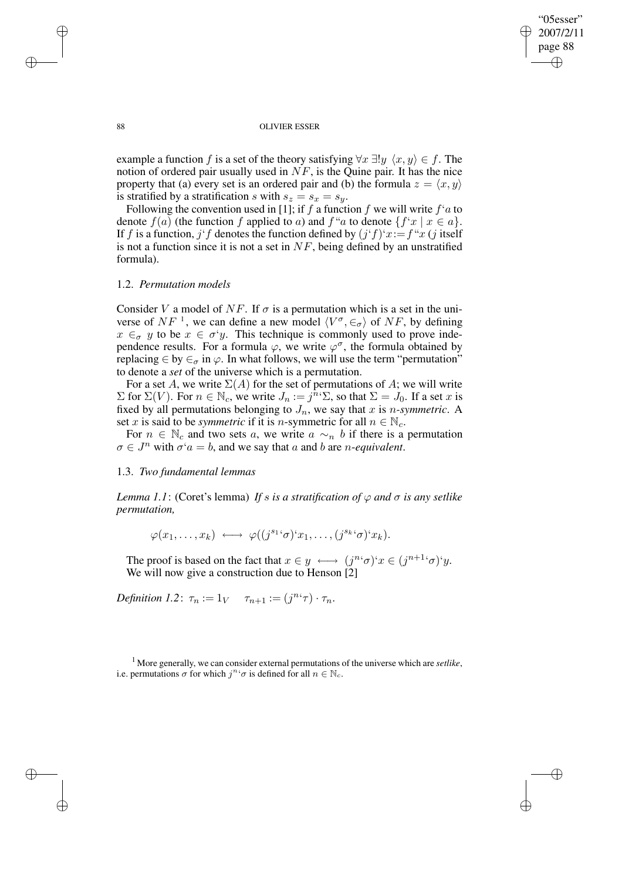✐

✐

#### 88 OLIVIER ESSER

example a function f is a set of the theory satisfying  $\forall x \exists ! y \langle x, y \rangle \in f$ . The notion of ordered pair usually used in  $NF$ , is the Quine pair. It has the nice property that (a) every set is an ordered pair and (b) the formula  $z = \langle x, y \rangle$ is stratified by a stratification s with  $s_z = s_x = s_y$ .

Following the convention used in [1]; if f a function f we will write  $f<sup>t</sup>a$  to denote  $f(a)$  (the function f applied to a) and  $f''a$  to denote  $\{f'x \mid x \in a\}$ . If f is a function, j'f denotes the function defined by  $(j'f)'x:=f''x$  (j itself is not a function since it is not a set in  $NF$ , being defined by an unstratified formula).

#### 1.2. *Permutation models*

Consider V a model of NF. If  $\sigma$  is a permutation which is a set in the universe of  $NF^{-1}$ , we can define a new model  $\langle V^{\sigma}, \in_{\sigma} \rangle$  of  $NF$ , by defining  $x \in_{\sigma} y$  to be  $x \in \sigma' y$ . This technique is commonly used to prove independence results. For a formula  $\varphi$ , we write  $\varphi^{\sigma}$ , the formula obtained by replacing  $\in$  by  $\in_{\sigma}$  in  $\varphi$ . In what follows, we will use the term "permutation" to denote a *set* of the universe which is a permutation.

For a set A, we write  $\Sigma(A)$  for the set of permutations of A; we will write  $\Sigma$  for  $\Sigma(V)$ . For  $n \in \mathbb{N}_c$ , we write  $J_n := j^{n} \Sigma$ , so that  $\Sigma = J_0$ . If a set x is fixed by all permutations belonging to  $J_n$ , we say that x is *n*-symmetric. A set x is said to be *symmetric* if it is n-symmetric for all  $n \in \mathbb{N}_c$ .

For  $n \in \mathbb{N}_c$  and two sets a, we write  $a \sim_n b$  if there is a permutation  $\sigma \in J^n$  with  $\sigma^2 a = b$ , and we say that a and b are *n*-*equivalent*.

#### 1.3. *Two fundamental lemmas*

*Lemma* 1.1: (Coret's lemma) If *s is a stratification of*  $\varphi$  *and*  $\sigma$  *is any setlike permutation,*

 $\varphi(x_1,\ldots,x_k) \longleftrightarrow \varphi((j^{s_1 \cdot \sigma})^{\cdot} x_1,\ldots,(j^{s_k \cdot \sigma})^{\cdot} x_k).$ 

The proof is based on the fact that  $x \in y \iff (j^{n_i} \sigma)^i x \in (j^{n+1} \sigma)^i y$ . We will now give a construction due to Henson [2]

*Definition 1.2*:  $\tau_n := 1_V \quad \tau_{n+1} := (j^{n} \tau) \cdot \tau_n$ .

<sup>1</sup> More generally, we can consider external permutations of the universe which are *setlike*, i.e. permutations  $\sigma$  for which  $j^{n} \sigma$  is defined for all  $n \in \mathbb{N}_c$ .

✐

✐

✐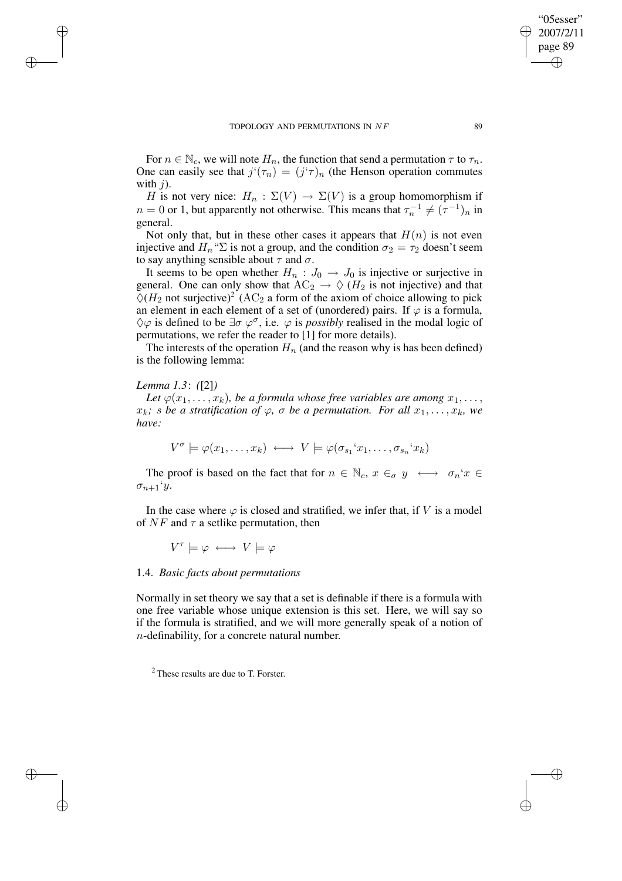For  $n \in \mathbb{N}_c$ , we will note  $H_n$ , the function that send a permutation  $\tau$  to  $\tau_n$ . One can easily see that  $j'(\tau_n) = (j'\tau)_n$  (the Henson operation commutes with  $i$ ).

H is not very nice:  $H_n : \Sigma(V) \to \Sigma(V)$  is a group homomorphism if  $n = 0$  or 1, but apparently not otherwise. This means that  $\tau_n^{-1} \neq (\tau^{-1})_n$  in general.

Not only that, but in these other cases it appears that  $H(n)$  is not even injective and  $H_n$ <sup>"</sup> $\Sigma$  is not a group, and the condition  $\sigma_2 = \tau_2$  doesn't seem to say anything sensible about  $\tau$  and  $\sigma$ .

It seems to be open whether  $H_n$ :  $J_0 \rightarrow J_0$  is injective or surjective in general. One can only show that  $AC_2 \rightarrow \Diamond$  ( $H_2$  is not injective) and that  $\Diamond (H_2 \text{ not surjective})^2$  (AC<sub>2</sub> a form of the axiom of choice allowing to pick an element in each element of a set of (unordered) pairs. If  $\varphi$  is a formula,  $\Diamond \varphi$  is defined to be  $\exists \sigma \varphi^{\sigma}$ , i.e.  $\varphi$  is *possibly* realised in the modal logic of permutations, we refer the reader to [1] for more details).

The interests of the operation  $H_n$  (and the reason why is has been defined) is the following lemma:

## *Lemma 1.3*: *(*[2]*)*

✐

✐

✐

✐

*Let*  $\varphi(x_1, \ldots, x_k)$ *, be a formula whose free variables are among*  $x_1, \ldots,$  $x_k$ *; s be a stratification of*  $\varphi$ *,*  $\sigma$  *be a permutation. For all*  $x_1, \ldots, x_k$ *, we have:*

$$
V^{\sigma} \models \varphi(x_1, \ldots, x_k) \longleftrightarrow V \models \varphi(\sigma_{s_1} x_1, \ldots, \sigma_{s_n} x_k)
$$

The proof is based on the fact that for  $n \in \mathbb{N}_c$ ,  $x \in_{\sigma} y \longleftrightarrow \sigma_n$ ' $x \in$  $\sigma_{n+1}$ 'y.

In the case where  $\varphi$  is closed and stratified, we infer that, if V is a model of  $NF$  and  $\tau$  a setlike permutation, then

 $V^{\tau} \models \varphi \longleftrightarrow V \models \varphi$ 

#### 1.4. *Basic facts about permutations*

Normally in set theory we say that a set is definable if there is a formula with one free variable whose unique extension is this set. Here, we will say so if the formula is stratified, and we will more generally speak of a notion of n-definability, for a concrete natural number.

<sup>2</sup> These results are due to T. Forster.

"05esser" 2007/2/11 page 89

✐

✐

✐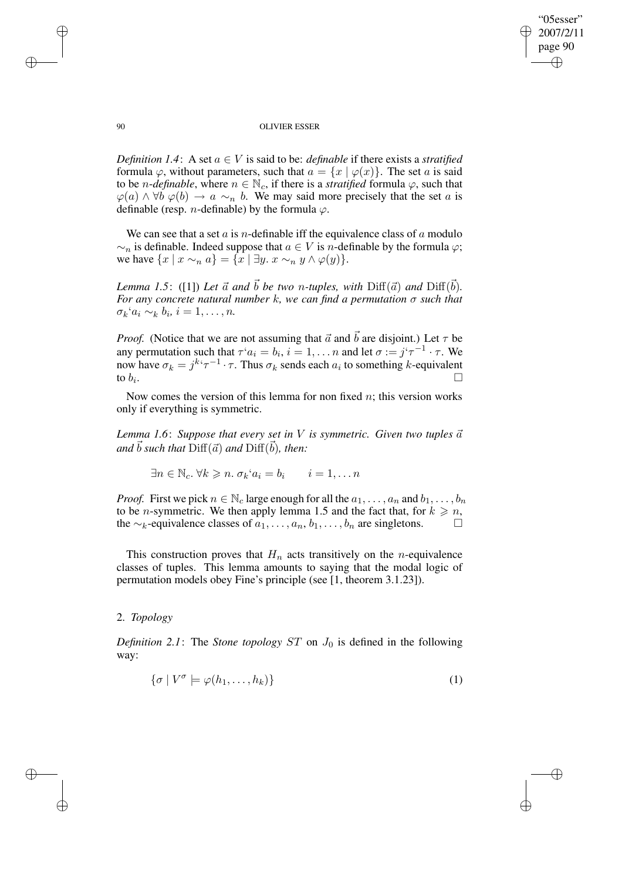✐

✐

#### 90 OLIVIER ESSER

*Definition* 1.4: A set  $a \in V$  is said to be: *definable* if there exists a *stratified* formula  $\varphi$ , without parameters, such that  $a = \{x \mid \varphi(x)\}\)$ . The set a is said to be *n*-*definable*, where  $n \in \mathbb{N}_c$ , if there is a *stratified* formula  $\varphi$ , such that  $\varphi(a) \wedge \forall b \varphi(b) \rightarrow a \sim_n b$ . We may said more precisely that the set a is definable (resp. *n*-definable) by the formula  $\varphi$ .

We can see that a set  $a$  is *n*-definable iff the equivalence class of  $a$  modulo  $\sim_n$  is definable. Indeed suppose that  $a \in V$  is *n*-definable by the formula  $\varphi$ ; we have  $\{x \mid x \sim_n a\} = \{x \mid \exists y. x \sim_n y \land \varphi(y)\}.$ 

*Lemma* 1.5: ([1]) Let  $\vec{a}$  and  $\vec{b}$  be two n-tuples, with  $\text{Diff}(\vec{a})$  and  $\text{Diff}(\vec{b})$ . *For any concrete natural number* k*, we can find a permutation* σ *such that*  $\sigma_k$ ' $a_i \sim_k b_i, i = 1, \ldots, n.$ 

*Proof.* (Notice that we are not assuming that  $\vec{a}$  and  $\vec{b}$  are disjoint.) Let  $\tau$  be any permutation such that  $\tau^i a_i = b_i$ ,  $i = 1, \ldots n$  and let  $\sigma := j^i \tau^{-1} \cdot \tau$ . We now have  $\sigma_k = j^{k} \tau^{-1} \cdot \tau$ . Thus  $\sigma_k$  sends each  $a_i$  to something k-equivalent to  $b_i$ . . В последните поставите на селото на селото на селото на селото на селото на селото на селото на селото на се<br>Селото на селото на селото на селото на селото на селото на селото на селото на селото на селото на селото на

Now comes the version of this lemma for non fixed  $n$ ; this version works only if everything is symmetric.

*Lemma* 1.6: Suppose that every set in V is symmetric. Given two tuples  $\vec{a}$  $\vec{b}$  *such that*  $\text{Diff}(\vec{a})$  *and*  $\text{Diff}(\vec{b})$ *, then:* 

 $\exists n \in \mathbb{N}_c$ .  $\forall k \geqslant n$ .  $\sigma_k$ ' $a_i = b_i$   $i = 1, \ldots n$ 

*Proof.* First we pick  $n \in \mathbb{N}_c$  large enough for all the  $a_1, \ldots, a_n$  and  $b_1, \ldots, b_n$ to be *n*-symmetric. We then apply lemma 1.5 and the fact that, for  $k \ge n$ , the ∼<sub>k</sub>-equivalence classes of  $a_1, \ldots, a_n, b_1, \ldots, b_n$  are singletons.  $\Box$ 

This construction proves that  $H_n$  acts transitively on the *n*-equivalence classes of tuples. This lemma amounts to saying that the modal logic of permutation models obey Fine's principle (see [1, theorem 3.1.23]).

## 2. *Topology*

✐

✐

*Definition* 2.1: The *Stone topology*  $ST$  on  $J_0$  is defined in the following way:

$$
\{\sigma \mid V^{\sigma} \models \varphi(h_1, \dots, h_k)\}\tag{1}
$$

✐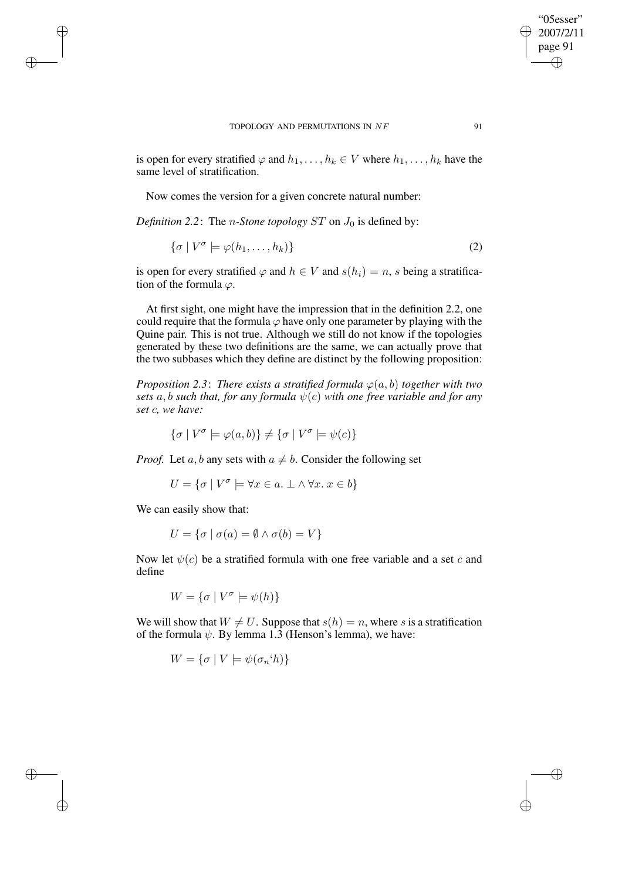is open for every stratified  $\varphi$  and  $h_1, \ldots, h_k \in V$  where  $h_1, \ldots, h_k$  have the same level of stratification.

Now comes the version for a given concrete natural number:

*Definition* 2.2: The *n*-Stone topology ST on  $J_0$  is defined by:

$$
\{\sigma \mid V^{\sigma} \models \varphi(h_1, \dots, h_k)\}\tag{2}
$$

is open for every stratified  $\varphi$  and  $h \in V$  and  $s(h_i) = n$ , s being a stratification of the formula  $\varphi$ .

At first sight, one might have the impression that in the definition 2.2, one could require that the formula  $\varphi$  have only one parameter by playing with the Quine pair. This is not true. Although we still do not know if the topologies generated by these two definitions are the same, we can actually prove that the two subbases which they define are distinct by the following proposition:

*Proposition* 2.3: *There exists a stratified formula*  $\varphi(a, b)$  *together with two sets* a, b *such that, for any formula*  $\psi(c)$  *with one free variable and for any set* c*, we have:*

$$
\{\sigma \mid V^{\sigma} \models \varphi(a, b)\} \neq \{\sigma \mid V^{\sigma} \models \psi(c)\}
$$

*Proof.* Let a, b any sets with  $a \neq b$ . Consider the following set

$$
U = \{ \sigma \mid V^{\sigma} \models \forall x \in a. \perp \land \forall x. \ x \in b \}
$$

We can easily show that:

✐

✐

✐

✐

$$
U = \{ \sigma \mid \sigma(a) = \emptyset \land \sigma(b) = V \}
$$

Now let  $\psi(c)$  be a stratified formula with one free variable and a set c and define

 $W = {\sigma | V^{\sigma} \models \psi(h)}$ 

We will show that  $W \neq U$ . Suppose that  $s(h) = n$ , where s is a stratification of the formula  $\psi$ . By lemma 1.3 (Henson's lemma), we have:

$$
W = \{ \sigma \mid V \models \psi(\sigma_n \cdot h) \}
$$

"05esser" 2007/2/11 page 91

✐

✐

✐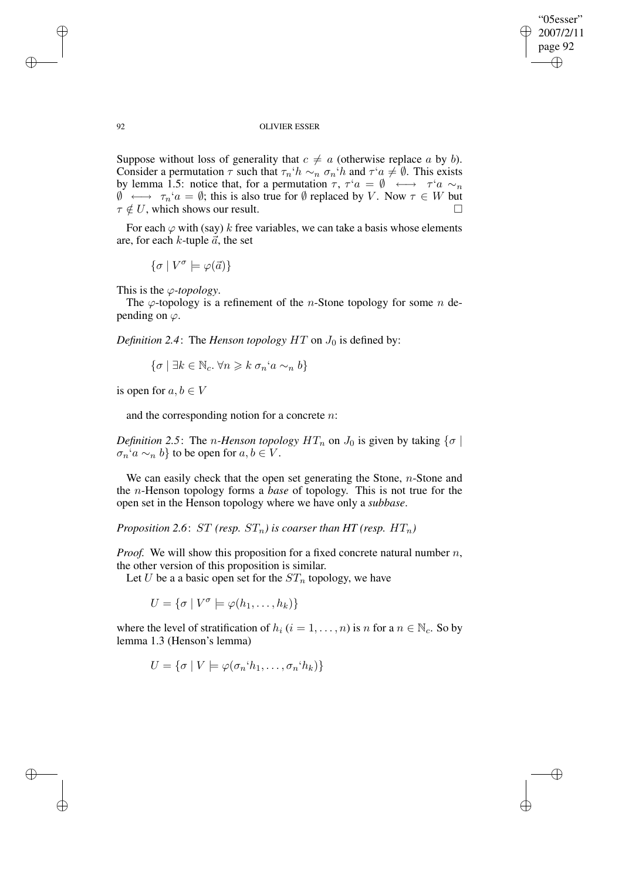✐

✐

#### 92 OLIVIER ESSER

Suppose without loss of generality that  $c \neq a$  (otherwise replace a by b). Consider a permutation  $\tau$  such that  $\tau_n$ ' $h \sim_n \sigma_n$ ' $h$  and  $\tau$ ' $a \neq \emptyset$ . This exists by lemma 1.5: notice that, for a permutation  $\tau$ ,  $\tau^{\tau}a = \emptyset \leftrightarrow \tau^{\tau}a \sim_n$  $\emptyset \longleftrightarrow \tau_n$ ' $a = \emptyset$ ; this is also true for  $\emptyset$  replaced by V. Now  $\tau \in W$  but  $\tau \notin U$ , which shows our result.

For each  $\varphi$  with (say) k free variables, we can take a basis whose elements are, for each  $k$ -tuple  $\vec{a}$ , the set

$$
\{\sigma \mid V^{\sigma} \models \varphi(\vec{a})\}
$$

This is the ϕ*-topology*.

The  $\varphi$ -topology is a refinement of the *n*-Stone topology for some *n* depending on  $\varphi$ .

*Definition* 2.4: The *Henson topology*  $HT$  on  $J_0$  is defined by:

$$
\{\sigma \mid \exists k \in \mathbb{N}_c. \,\forall n \geq k \,\sigma_n \, a \sim_n b\}
$$

is open for  $a, b \in V$ 

and the corresponding notion for a concrete  $n$ .

*Definition* 2.5: The *n*-Henson *topology*  $HT_n$  on  $J_0$  is given by taking  $\{\sigma \mid$  $\sigma_n$ ' $a \sim_n b$ } to be open for  $a, b \in V$ .

We can easily check that the open set generating the Stone,  $n$ -Stone and the n-Henson topology forms a *base* of topology. This is not true for the open set in the Henson topology where we have only a *subbase*.

*Proposition* 2.6:  $ST$  *(resp.*  $ST_n$ *) is coarser than*  $HT$  *(resp.*  $HT_n$ *)* 

*Proof.* We will show this proposition for a fixed concrete natural number n, the other version of this proposition is similar.

Let U be a a basic open set for the  $ST_n$  topology, we have

 $U = \{ \sigma \mid V^{\sigma} \models \varphi(h_1, \ldots, h_k) \}$ 

where the level of stratification of  $h_i$  ( $i = 1, ..., n$ ) is n for a  $n \in \mathbb{N}_c$ . So by lemma 1.3 (Henson's lemma)

$$
U = \{ \sigma \mid V \models \varphi(\sigma_n \land h_1, \ldots, \sigma_n \land h_k) \}
$$

✐

✐

✐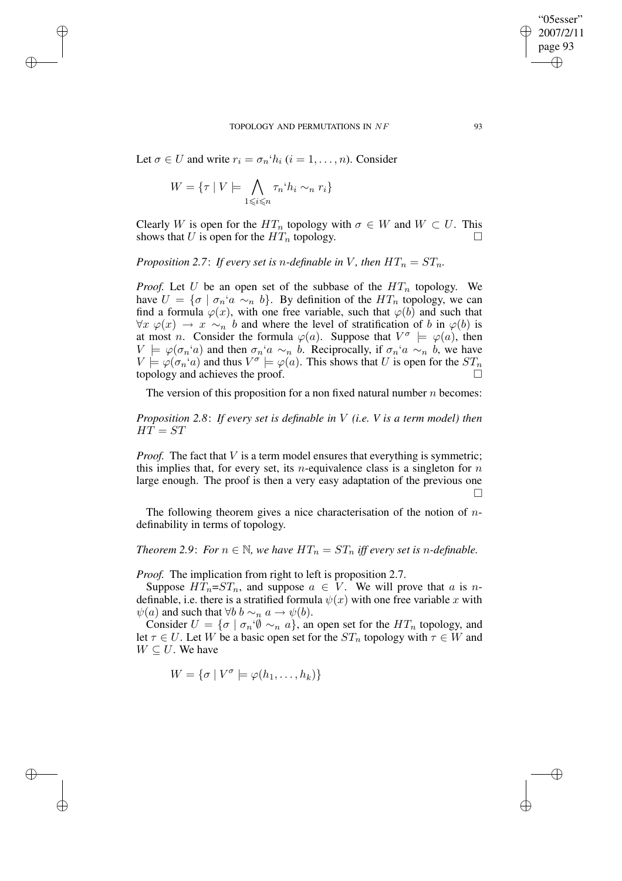Let  $\sigma \in U$  and write  $r_i = \sigma_n \hat{h}_i$   $(i = 1, \ldots, n)$ . Consider

$$
W = \{ \tau \mid V \models \bigwedge_{1 \leq i \leq n} \tau_n \land h_i \sim_n r_i \}
$$

✐

✐

✐

✐

Clearly W is open for the  $HT_n$  topology with  $\sigma \in W$  and  $W \subset U$ . This shows that U is open for the  $HT_n$  topology.

*Proposition* 2.7: *If every set is n-definable in V*, *then*  $HT_n = ST_n$ .

*Proof.* Let U be an open set of the subbase of the  $HT_n$  topology. We have  $U = \{ \sigma \mid \sigma_n \, a \sim_n b \}.$  By definition of the  $HT_n$  topology, we can find a formula  $\varphi(x)$ , with one free variable, such that  $\varphi(b)$  and such that  $\forall x \varphi(x) \rightarrow x \sim_n b$  and where the level of stratification of b in  $\varphi(b)$  is at most *n*. Consider the formula  $\varphi(a)$ . Suppose that  $V^{\sigma} \models \varphi(a)$ , then  $V \models \varphi(\sigma_n \text{`a})$  and then  $\sigma_n \text{`a} \sim_n b$ . Reciprocally, if  $\sigma_n \text{`a} \sim_n b$ , we have  $V \models \varphi(\sigma_n \land a)$  and thus  $V^\sigma \models \varphi(a)$ . This shows that U is open for the  $ST_n$ topology and achieves the proof.

The version of this proposition for a non fixed natural number  $n$  becomes:

*Proposition 2.8*: *If every set is definable in* V *(i.e. V is a term model) then*  $HT = ST$ 

*Proof.* The fact that V is a term model ensures that everything is symmetric; this implies that, for every set, its *n*-equivalence class is a singleton for *n* large enough. The proof is then a very easy adaptation of the previous one П

The following theorem gives a nice characterisation of the notion of  $n$ definability in terms of topology.

*Theorem* 2.9: *For*  $n \in \mathbb{N}$ *, we have*  $HT_n = ST_n$  *iff every set is n*-definable.

*Proof.* The implication from right to left is proposition 2.7.

Suppose  $HT_n = ST_n$ , and suppose  $a \in V$ . We will prove that a is ndefinable, i.e. there is a stratified formula  $\psi(x)$  with one free variable x with  $\psi(a)$  and such that  $\forall b \, b \sim_n a \rightarrow \psi(b)$ .

Consider  $U = \{ \sigma \mid \sigma_n \varnothing \sim_n a \}$ , an open set for the  $HT_n$  topology, and let  $\tau \in U$ . Let W be a basic open set for the  $ST_n$  topology with  $\tau \in W$  and  $W \subseteq U$ . We have

$$
W = \{ \sigma \mid V^{\sigma} \models \varphi(h_1, \ldots, h_k) \}
$$

"05esser" 2007/2/11 page 93

✐

✐

✐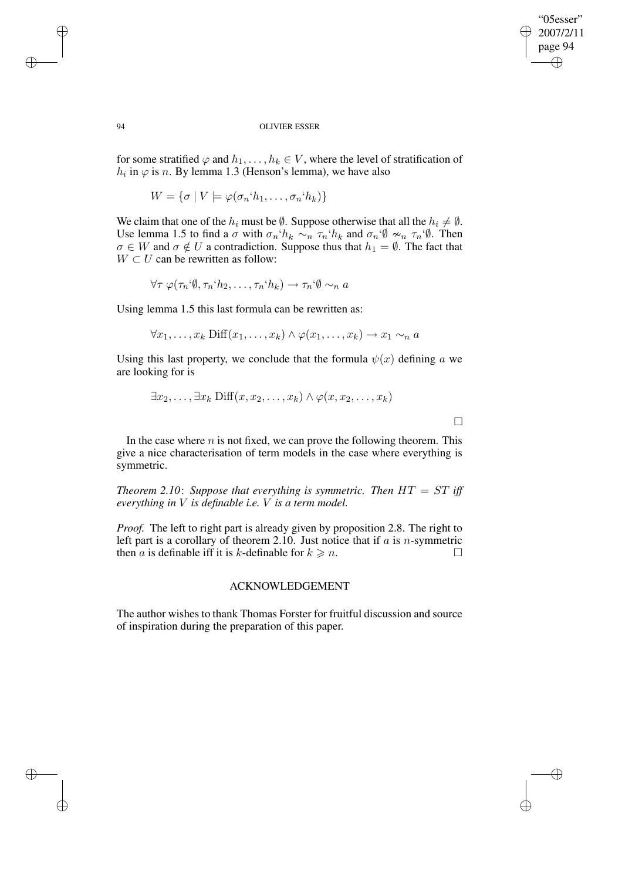"05esser" 2007/2/11 page 94 ✐ ✐

✐

✐

#### 94 OLIVIER ESSER

for some stratified  $\varphi$  and  $h_1, \ldots, h_k \in V$ , where the level of stratification of  $h_i$  in  $\varphi$  is n. By lemma 1.3 (Henson's lemma), we have also

 $W = \{\sigma \mid V \models \varphi(\sigma_n \land h_1, \ldots, \sigma_n \land h_k)\}\$ 

We claim that one of the  $h_i$  must be  $\emptyset$ . Suppose otherwise that all the  $h_i \neq \emptyset$ . Use lemma 1.5 to find a  $\sigma$  with  $\sigma_n$ ' $h_k \sim_n \tau_n$ ' $h_k$  and  $\sigma_n$ ' $\emptyset \nsim_n \tau_n$ ' $\emptyset$ . Then  $\sigma \in W$  and  $\sigma \notin U$  a contradiction. Suppose thus that  $h_1 = \emptyset$ . The fact that  $W \subset U$  can be rewritten as follow:

 $\forall \tau \varphi(\tau_n \hat{\varphi}, \tau_n \hat{\varphi}_2, \ldots, \tau_n \hat{\varphi}_k) \rightarrow \tau_n \hat{\varphi} \sim_n a$ 

Using lemma 1.5 this last formula can be rewritten as:

 $\forall x_1, \ldots, x_k$  Diff $(x_1, \ldots, x_k) \wedge \varphi(x_1, \ldots, x_k) \rightarrow x_1 \sim_n a$ 

Using this last property, we conclude that the formula  $\psi(x)$  defining a we are looking for is

$$
\exists x_2, \ldots, \exists x_k \ \mathrm{Diff}(x, x_2, \ldots, x_k) \land \varphi(x, x_2, \ldots, x_k)
$$

 $\Box$ 

In the case where  $n$  is not fixed, we can prove the following theorem. This give a nice characterisation of term models in the case where everything is symmetric.

*Theorem* 2.10: *Suppose that everything is symmetric. Then*  $HT = ST$  *iff everything in* V *is definable i.e.* V *is a term model.*

*Proof.* The left to right part is already given by proposition 2.8. The right to left part is a corollary of theorem 2.10. Just notice that if  $a$  is n-symmetric then a is definable iff it is k-definable for  $k \geq n$ .

## ACKNOWLEDGEMENT

The author wishes to thank Thomas Forster for fruitful discussion and source of inspiration during the preparation of this paper.

✐

✐

✐